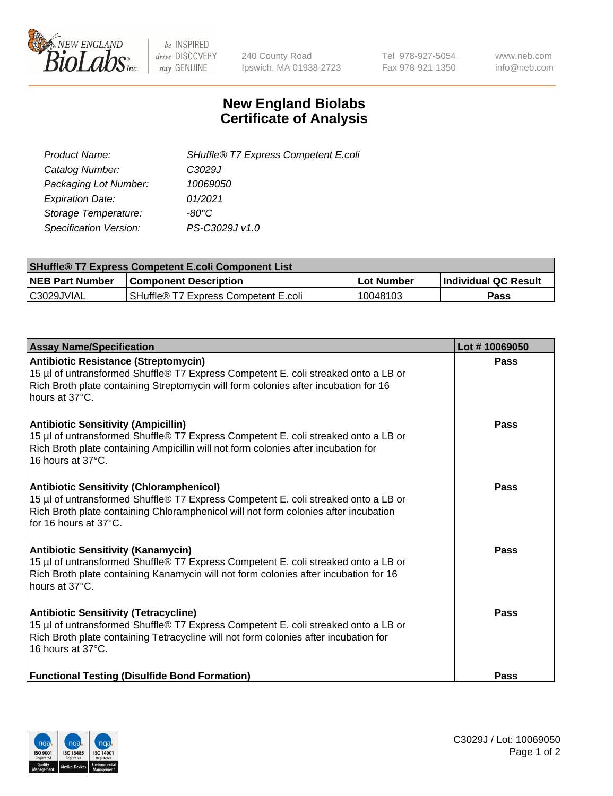

 $be$  INSPIRED drive DISCOVERY stay GENUINE

240 County Road Ipswich, MA 01938-2723 Tel 978-927-5054 Fax 978-921-1350 www.neb.com info@neb.com

## **New England Biolabs Certificate of Analysis**

| SHuffle® T7 Express Competent E.coli |
|--------------------------------------|
| C3029J                               |
| 10069050                             |
| 01/2021                              |
| -80°C.                               |
| PS-C3029J v1.0                       |
|                                      |

| <b>SHuffle<sup>®</sup> T7 Express Competent E.coli Component List</b> |                                         |            |                             |  |
|-----------------------------------------------------------------------|-----------------------------------------|------------|-----------------------------|--|
| <b>NEB Part Number</b>                                                | <b>Component Description</b>            | Lot Number | <b>Individual QC Result</b> |  |
| C3029JVIAL                                                            | l SHuffle® T7 Express Competent E.coli_ | 10048103   | Pass                        |  |

| <b>Assay Name/Specification</b>                                                                                                                                                                                                                       | Lot #10069050 |
|-------------------------------------------------------------------------------------------------------------------------------------------------------------------------------------------------------------------------------------------------------|---------------|
| <b>Antibiotic Resistance (Streptomycin)</b><br>15 µl of untransformed Shuffle® T7 Express Competent E. coli streaked onto a LB or<br>Rich Broth plate containing Streptomycin will form colonies after incubation for 16<br>hours at 37°C.            | Pass          |
| <b>Antibiotic Sensitivity (Ampicillin)</b><br>15 µl of untransformed Shuffle® T7 Express Competent E. coli streaked onto a LB or<br>Rich Broth plate containing Ampicillin will not form colonies after incubation for<br>16 hours at 37°C.           | <b>Pass</b>   |
| <b>Antibiotic Sensitivity (Chloramphenicol)</b><br>15 µl of untransformed Shuffle® T7 Express Competent E. coli streaked onto a LB or<br>Rich Broth plate containing Chloramphenicol will not form colonies after incubation<br>for 16 hours at 37°C. | Pass          |
| <b>Antibiotic Sensitivity (Kanamycin)</b><br>15 µl of untransformed Shuffle® T7 Express Competent E. coli streaked onto a LB or<br>Rich Broth plate containing Kanamycin will not form colonies after incubation for 16<br>hours at 37°C.             | Pass          |
| <b>Antibiotic Sensitivity (Tetracycline)</b><br>15 µl of untransformed Shuffle® T7 Express Competent E. coli streaked onto a LB or<br>Rich Broth plate containing Tetracycline will not form colonies after incubation for<br>16 hours at 37°C.       | Pass          |
| <b>Functional Testing (Disulfide Bond Formation)</b>                                                                                                                                                                                                  | Pass          |